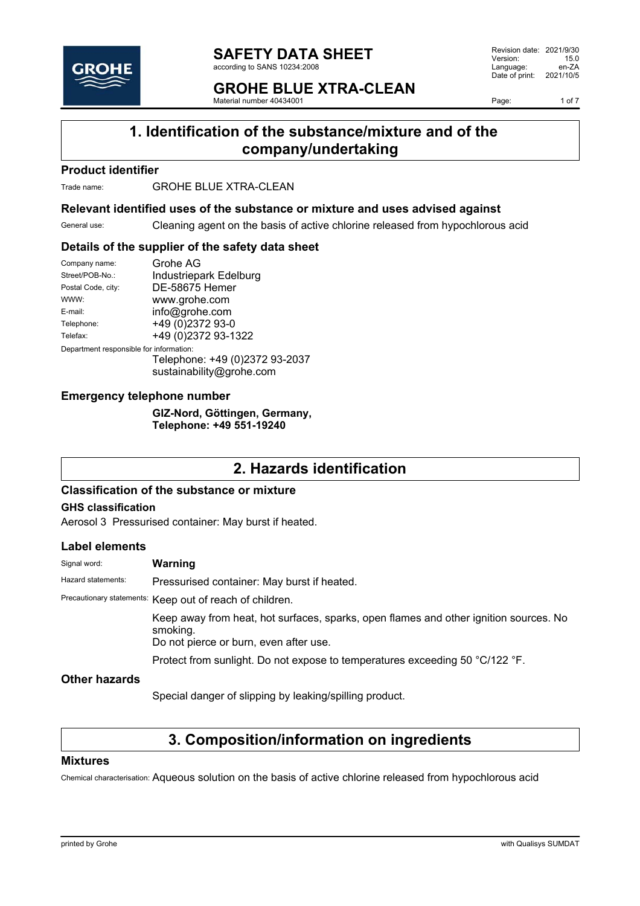

#### **SAFETY DATA SHEET** according to SANS 10234:2008

**GROHE BLUE XTRA-CLEAN**

Material number 40434001

Revision date: 2021/9/30 Version: 15.0<br>Language: en-ZA Language: Date of print: 2021/10/5

Page: 1 of 7

# **1. Identification of the substance/mixture and of the company/undertaking**

### **Product identifier**

Trade name: **GROHE BLUE XTRA-CLEAN** 

### **Relevant identified uses of the substance or mixture and uses advised against**

General use: Cleaning agent on the basis of active chlorine released from hypochlorous acid

### **Details of the supplier of the safety data sheet**

| Company name:                           | Grohe AG                                                   |  |
|-----------------------------------------|------------------------------------------------------------|--|
| Street/POB-No.:                         | Industriepark Edelburg                                     |  |
| Postal Code, city:                      | <b>DE-58675 Hemer</b>                                      |  |
| WWW:                                    | www.grohe.com                                              |  |
| $F$ -mail:                              | info@grohe.com                                             |  |
| Telephone:                              | +49 (0)2372 93-0                                           |  |
| Telefax:                                | +49 (0)2372 93-1322                                        |  |
| Department responsible for information: |                                                            |  |
|                                         | Telephone: +49 (0)2372 93-2037<br>sustainability@grohe.com |  |

### **Emergency telephone number**

**GIZ-Nord, Göttingen, Germany, Telephone: +49 551-19240**

### **2. Hazards identification**

### **Classification of the substance or mixture**

### **GHS classification**

Aerosol 3 Pressurised container: May burst if heated.

### **Label elements**

| Signal word:         | Warning                                                                                                                                     |  |
|----------------------|---------------------------------------------------------------------------------------------------------------------------------------------|--|
| Hazard statements:   | Pressurised container: May burst if heated.                                                                                                 |  |
|                      | Precautionary statements: Keep out of reach of children.                                                                                    |  |
|                      | Keep away from heat, hot surfaces, sparks, open flames and other ignition sources. No<br>smoking.<br>Do not pierce or burn, even after use. |  |
|                      | Protect from sunlight. Do not expose to temperatures exceeding 50 °C/122 °F.                                                                |  |
| <b>Other hazards</b> |                                                                                                                                             |  |

Special danger of slipping by leaking/spilling product.

### **3. Composition/information on ingredients**

### **Mixtures**

Chemical characterisation: Aqueous solution on the basis of active chlorine released from hypochlorous acid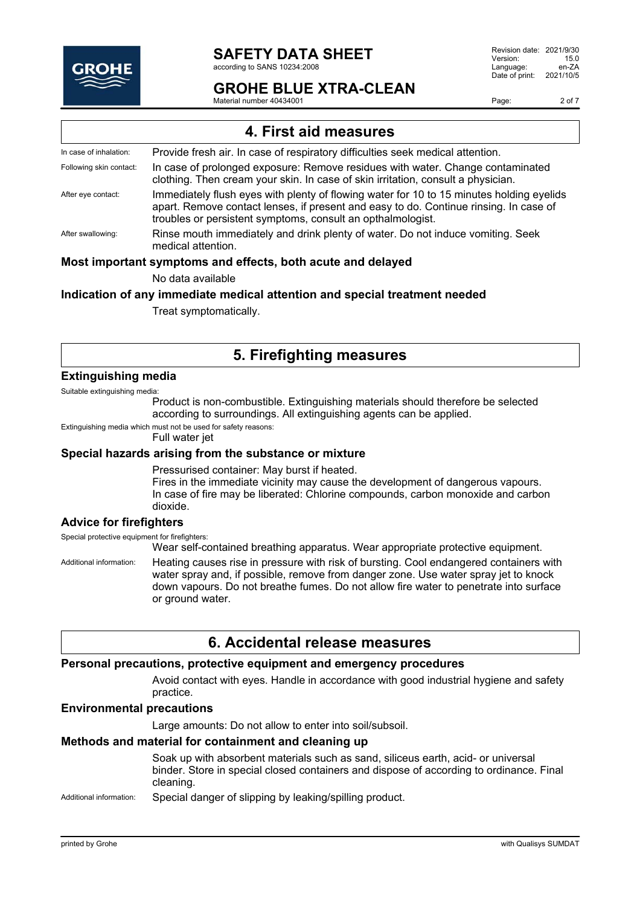

#### **SAFETY DATA SHEET** according to SANS 10234:2008

### **GROHE BLUE XTRA-CLEAN**

Material number 40434001

Revision date: 2021/9/30 Version: 15.0<br>Language: en-ZA Language: en-ZA<br>Date of print: 2021/10/5 Date of print:

Page: 2 of 7

| 4. First aid measures                                       |                                                                                                                                                                                                                                                  |  |
|-------------------------------------------------------------|--------------------------------------------------------------------------------------------------------------------------------------------------------------------------------------------------------------------------------------------------|--|
| In case of inhalation:                                      | Provide fresh air. In case of respiratory difficulties seek medical attention.                                                                                                                                                                   |  |
| Following skin contact:                                     | In case of prolonged exposure: Remove residues with water. Change contaminated<br>clothing. Then cream your skin. In case of skin irritation, consult a physician.                                                                               |  |
| After eye contact:                                          | Immediately flush eyes with plenty of flowing water for 10 to 15 minutes holding eyelids<br>apart. Remove contact lenses, if present and easy to do. Continue rinsing. In case of<br>troubles or persistent symptoms, consult an opthalmologist. |  |
| After swallowing:                                           | Rinse mouth immediately and drink plenty of water. Do not induce vomiting. Seek<br>medical attention.                                                                                                                                            |  |
| Most important symptoms and effects, both acute and delayed |                                                                                                                                                                                                                                                  |  |

No data available

#### **Indication of any immediate medical attention and special treatment needed**

Treat symptomatically.

### **5. Firefighting measures**

#### **Extinguishing media**

Suitable extinguishing media: Product is non-combustible. Extinguishing materials should therefore be selected

according to surroundings. All extinguishing agents can be applied.

Extinguishing media which must not be used for safety reasons:

Full water jet

### **Special hazards arising from the substance or mixture**

Pressurised container: May burst if heated. Fires in the immediate vicinity may cause the development of dangerous vapours. In case of fire may be liberated: Chlorine compounds, carbon monoxide and carbon dioxide.

### **Advice for firefighters**

Special protective equipment for firefighters:

Wear self-contained breathing apparatus. Wear appropriate protective equipment.

Additional information: Heating causes rise in pressure with risk of bursting. Cool endangered containers with water spray and, if possible, remove from danger zone. Use water spray jet to knock down vapours. Do not breathe fumes. Do not allow fire water to penetrate into surface or ground water.

### **6. Accidental release measures**

### **Personal precautions, protective equipment and emergency procedures**

Avoid contact with eyes. Handle in accordance with good industrial hygiene and safety practice.

### **Environmental precautions**

Large amounts: Do not allow to enter into soil/subsoil.

### **Methods and material for containment and cleaning up**

Soak up with absorbent materials such as sand, siliceus earth, acid- or universal binder. Store in special closed containers and dispose of according to ordinance. Final cleaning.

Additional information: Special danger of slipping by leaking/spilling product.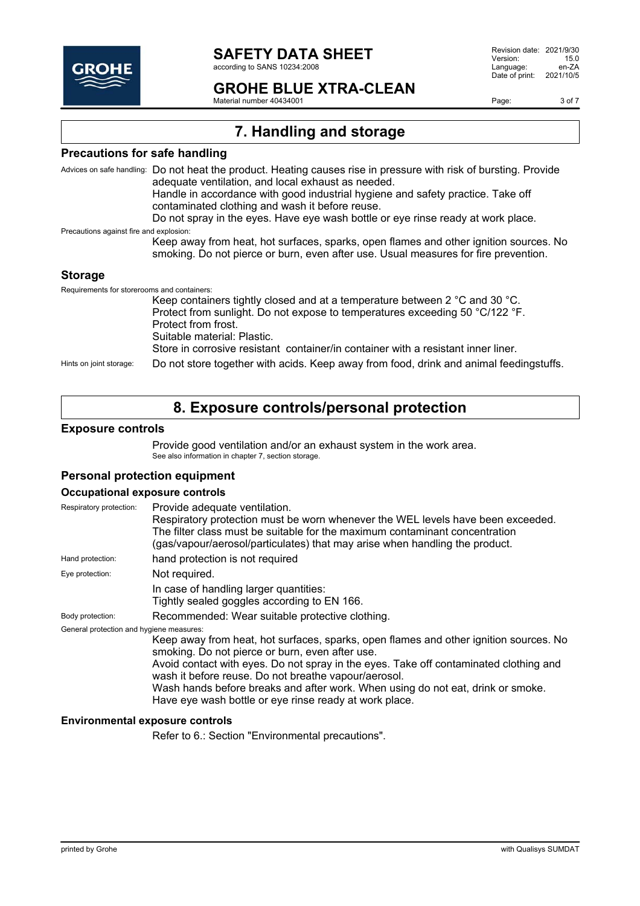

according to SANS 10234:2008

### **GROHE BLUE XTRA-CLEAN**

Material number 40434001

Page: 3 of 7

# **7. Handling and storage**

### **Precautions for safe handling**

Advices on safe handling: Do not heat the product. Heating causes rise in pressure with risk of bursting. Provide adequate ventilation, and local exhaust as needed. Handle in accordance with good industrial hygiene and safety practice. Take off contaminated clothing and wash it before reuse. Do not spray in the eyes. Have eye wash bottle or eye rinse ready at work place. Precautions against fire and explosion: Keep away from heat, hot surfaces, sparks, open flames and other ignition sources. No smoking. Do not pierce or burn, even after use. Usual measures for fire prevention. **Storage** Requirements for storerooms and containers: Keep containers tightly closed and at a temperature between 2 °C and 30 °C. Protect from sunlight. Do not expose to temperatures exceeding 50 °C/122 °F. Protect from frost. Suitable material: Plastic.

Store in corrosive resistant container/in container with a resistant inner liner.

Hints on joint storage: Do not store together with acids. Keep away from food, drink and animal feedingstuffs.

### **8. Exposure controls/personal protection**

#### **Exposure controls**

Provide good ventilation and/or an exhaust system in the work area. See also information in chapter 7, section storage.

### **Personal protection equipment**

#### **Occupational exposure controls**

| Respiratory protection:                  | Provide adequate ventilation.<br>Respiratory protection must be worn whenever the WEL levels have been exceeded.<br>The filter class must be suitable for the maximum contaminant concentration                                                                                                                                                                                                                                        |  |
|------------------------------------------|----------------------------------------------------------------------------------------------------------------------------------------------------------------------------------------------------------------------------------------------------------------------------------------------------------------------------------------------------------------------------------------------------------------------------------------|--|
|                                          | (gas/vapour/aerosol/particulates) that may arise when handling the product.                                                                                                                                                                                                                                                                                                                                                            |  |
| Hand protection:                         | hand protection is not required                                                                                                                                                                                                                                                                                                                                                                                                        |  |
| Eye protection:                          | Not required.                                                                                                                                                                                                                                                                                                                                                                                                                          |  |
|                                          | In case of handling larger quantities:<br>Tightly sealed goggles according to EN 166.                                                                                                                                                                                                                                                                                                                                                  |  |
| Body protection:                         | Recommended: Wear suitable protective clothing.                                                                                                                                                                                                                                                                                                                                                                                        |  |
| General protection and hygiene measures: | Keep away from heat, hot surfaces, sparks, open flames and other ignition sources. No<br>smoking. Do not pierce or burn, even after use.<br>Avoid contact with eyes. Do not spray in the eyes. Take off contaminated clothing and<br>wash it before reuse. Do not breathe vapour/aerosol.<br>Wash hands before breaks and after work. When using do not eat, drink or smoke.<br>Have eye wash bottle or eye rinse ready at work place. |  |

#### **Environmental exposure controls**

Refer to 6.: Section "Environmental precautions".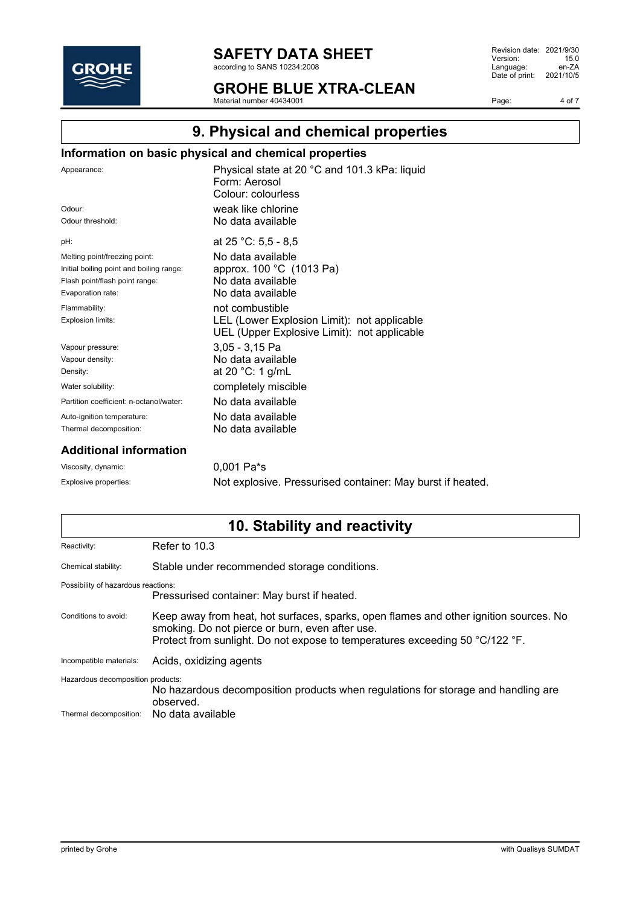

according to SANS 10234:2008

**GROHE BLUE XTRA-CLEAN** Material number 40434001

Revision date: 2021/9/30<br>Version: 15.0 Version: 15.0<br>
Language: en-ZA Language: Date of print: 2021/10/5

Page: 4 of 7

# **9. Physical and chemical properties**

### **Information on basic physical and chemical properties**

| Appearance:                              | Physical state at 20 °C and 101.3 kPa: liquid<br>Form: Aerosol<br>Colour: colourless       |
|------------------------------------------|--------------------------------------------------------------------------------------------|
| Odour <sup>-</sup>                       | weak like chlorine                                                                         |
| Odour threshold:                         | No data available                                                                          |
| pH:                                      | at 25 °C: 5,5 - 8,5                                                                        |
| Melting point/freezing point:            | No data available                                                                          |
| Initial boiling point and boiling range: | approx. 100 °C (1013 Pa)                                                                   |
| Flash point/flash point range:           | No data available                                                                          |
| Evaporation rate:                        | No data available                                                                          |
| Flammability:                            | not combustible                                                                            |
| Explosion limits:                        | LEL (Lower Explosion Limit): not applicable<br>UEL (Upper Explosive Limit): not applicable |
| Vapour pressure:                         | 3,05 - 3,15 Pa                                                                             |
| Vapour density:                          | No data available                                                                          |
| Density:                                 | at 20 $°C: 1$ g/mL                                                                         |
| Water solubility:                        | completely miscible                                                                        |
| Partition coefficient: n-octanol/water:  | No data available.                                                                         |
| Auto-ignition temperature:               | No data available                                                                          |
| Thermal decomposition:                   | No data available                                                                          |
|                                          |                                                                                            |

### **Additional information**

Viscosity, dynamic: 0,001 Pa<sup>\*</sup>s

Explosive properties: Not explosive. Pressurised container: May burst if heated.

# **10. Stability and reactivity**

| Reactivity:                         | Refer to 10.3                                                                                                                                                                                                            |  |
|-------------------------------------|--------------------------------------------------------------------------------------------------------------------------------------------------------------------------------------------------------------------------|--|
| Chemical stability:                 | Stable under recommended storage conditions.                                                                                                                                                                             |  |
| Possibility of hazardous reactions: | Pressurised container: May burst if heated.                                                                                                                                                                              |  |
| Conditions to avoid:                | Keep away from heat, hot surfaces, sparks, open flames and other ignition sources. No<br>smoking. Do not pierce or burn, even after use.<br>Protect from sunlight. Do not expose to temperatures exceeding 50 °C/122 °F. |  |
| Incompatible materials:             | Acids, oxidizing agents                                                                                                                                                                                                  |  |
| Hazardous decomposition products:   | No hazardous decomposition products when regulations for storage and handling are<br>observed.                                                                                                                           |  |
| Thermal decomposition:              | No data available                                                                                                                                                                                                        |  |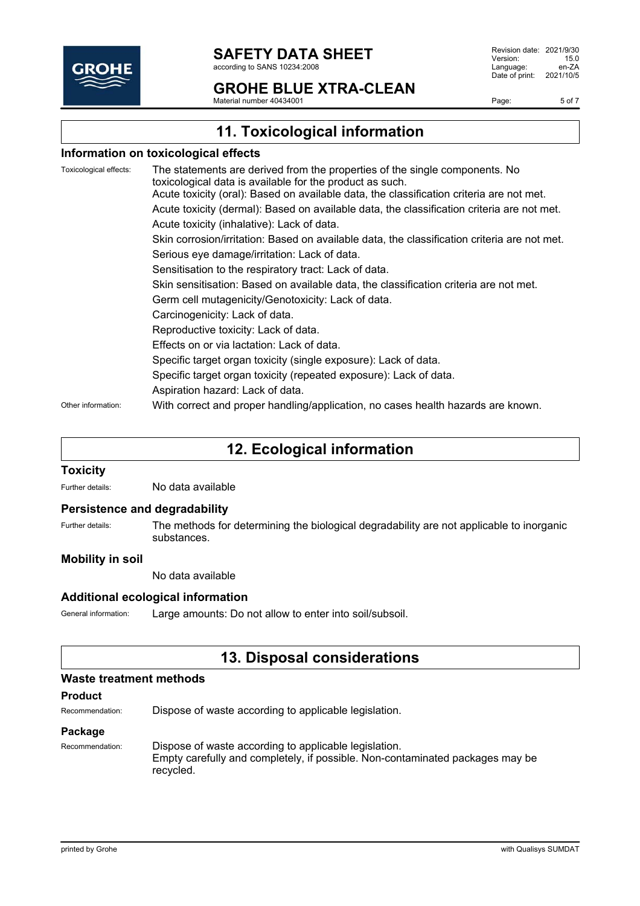

#### **SAFETY DATA SHEET** according to SANS 10234:2008

## **GROHE BLUE XTRA-CLEAN**

Material number 40434001

Revision date: 2021/9/30 Version: 15.0<br>Language: en-ZA Language: en-ZA<br>Date of print: 2021/10/5 Date of print:

Page: 5 of 7

# **11. Toxicological information**

### **Information on toxicological effects**

| Toxicological effects: | The statements are derived from the properties of the single components. No<br>toxicological data is available for the product as such. |
|------------------------|-----------------------------------------------------------------------------------------------------------------------------------------|
|                        | Acute toxicity (oral): Based on available data, the classification criteria are not met.                                                |
|                        | Acute toxicity (dermal): Based on available data, the classification criteria are not met.                                              |
|                        | Acute toxicity (inhalative): Lack of data.                                                                                              |
|                        | Skin corrosion/irritation: Based on available data, the classification criteria are not met.                                            |
|                        | Serious eye damage/irritation: Lack of data.                                                                                            |
|                        | Sensitisation to the respiratory tract: Lack of data.                                                                                   |
|                        | Skin sensitisation: Based on available data, the classification criteria are not met.                                                   |
|                        | Germ cell mutagenicity/Genotoxicity: Lack of data.                                                                                      |
|                        | Carcinogenicity: Lack of data.                                                                                                          |
|                        | Reproductive toxicity: Lack of data.                                                                                                    |
|                        | Effects on or via lactation: Lack of data.                                                                                              |
|                        | Specific target organ toxicity (single exposure): Lack of data.                                                                         |
|                        | Specific target organ toxicity (repeated exposure): Lack of data.                                                                       |
|                        | Aspiration hazard: Lack of data.                                                                                                        |
| Other information:     | With correct and proper handling/application, no cases health hazards are known.                                                        |

### **12. Ecological information**

### **Toxicity**

Further details: No data available

#### **Persistence and degradability**

Further details: The methods for determining the biological degradability are not applicable to inorganic substances.

### **Mobility in soil**

No data available

### **Additional ecological information**

General information: Large amounts: Do not allow to enter into soil/subsoil.

### **13. Disposal considerations**

#### **Waste treatment methods**

#### **Product**

Recommendation: Dispose of waste according to applicable legislation.

#### **Package**

Recommendation: Dispose of waste according to applicable legislation. Empty carefully and completely, if possible. Non-contaminated packages may be recycled.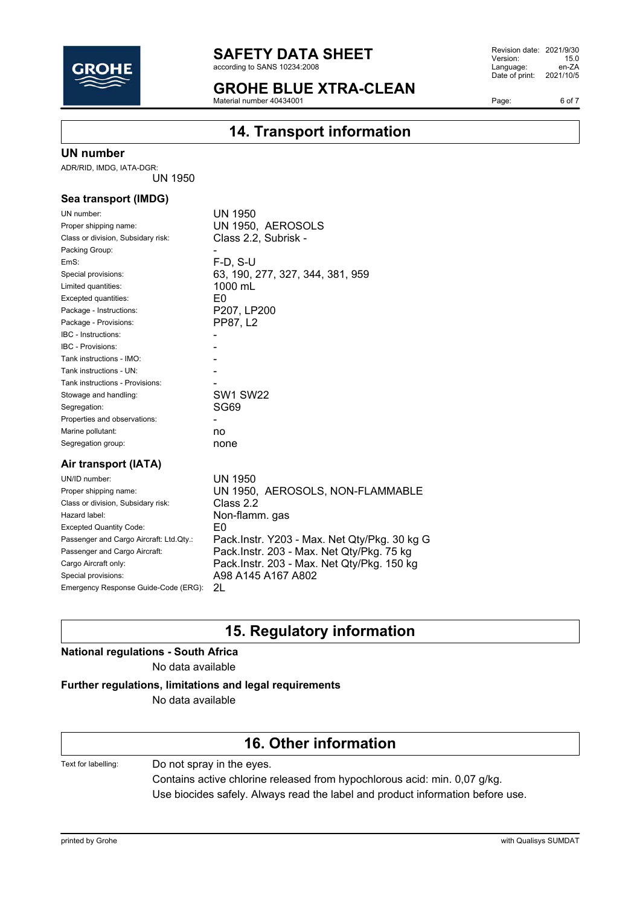

according to SANS 10234:2008

### **GROHE BLUE XTRA-CLEAN**

 $\frac{34}{24}$  Material number 40434001

Revision date: 2021/9/30<br>Version: 15.0 Version: 15.0<br>
Language: en-ZA Language: Date of print: 2021/10/5

Page: 6 of 7

# **14. Transport information**

#### **UN number**

ADR/RID, IMDG, IATA-DGR: UN 1950

### **Sea transport (IMDG)**

| UN number:                         | UN 1950                                   |
|------------------------------------|-------------------------------------------|
| Proper shipping name:              | UN 1950, AEROSOLS                         |
| Class or division, Subsidary risk: | Class 2.2, Subrisk -                      |
| Packing Group:                     |                                           |
| EmS:                               | $F-D, S-U$                                |
| Special provisions:                | 63, 190, 277, 327, 344, 381, 959          |
| Limited quantities:                | 1000 mL                                   |
| Excepted quantities:               | E0                                        |
| Package - Instructions:            | P207, LP200                               |
| Package - Provisions:              | PP87, L <sub>2</sub>                      |
| <b>IBC</b> - Instructions:         |                                           |
| <b>IBC - Provisions:</b>           |                                           |
| Tank instructions - IMO:           |                                           |
| Tank instructions - UN:            |                                           |
| Tank instructions - Provisions:    |                                           |
| Stowage and handling:              | <b>SW1 SW22</b>                           |
| Segregation:                       | SG69                                      |
| Properties and observations:       |                                           |
| Marine pollutant:                  | no                                        |
| Segregation group:                 | none                                      |
| Air transport (IATA)               |                                           |
| UN/ID number:                      | UN 1950                                   |
| Proper chinning name:              | AEDOSOI S NON ELAMMA<br><b>I INI 1050</b> |

| Proper shipping name:                   | UN 1950, AEROSOLS, NON-FLAMMABLE             |
|-----------------------------------------|----------------------------------------------|
| Class or division, Subsidary risk:      | Class 2.2                                    |
| Hazard label:                           | Non-flamm. gas                               |
| <b>Excepted Quantity Code:</b>          | F۵                                           |
| Passenger and Cargo Aircraft: Ltd.Qty.: | Pack.Instr. Y203 - Max. Net Qty/Pkg. 30 kg G |
| Passenger and Cargo Aircraft:           | Pack.Instr. 203 - Max. Net Qty/Pkg. 75 kg    |
| Cargo Aircraft only:                    | Pack.Instr. 203 - Max. Net Qty/Pkg. 150 kg   |
| Special provisions:                     | A98 A145 A167 A802                           |
| Emergency Response Guide-Code (ERG):    | 21                                           |

# **15. Regulatory information**

# **National regulations - South Africa**

No data available

### **Further regulations, limitations and legal requirements**

No data available

# **16. Other information**

Text for labelling: Do not spray in the eyes.

Contains active chlorine released from hypochlorous acid: min. 0,07 g/kg. Use biocides safely. Always read the label and product information before use.